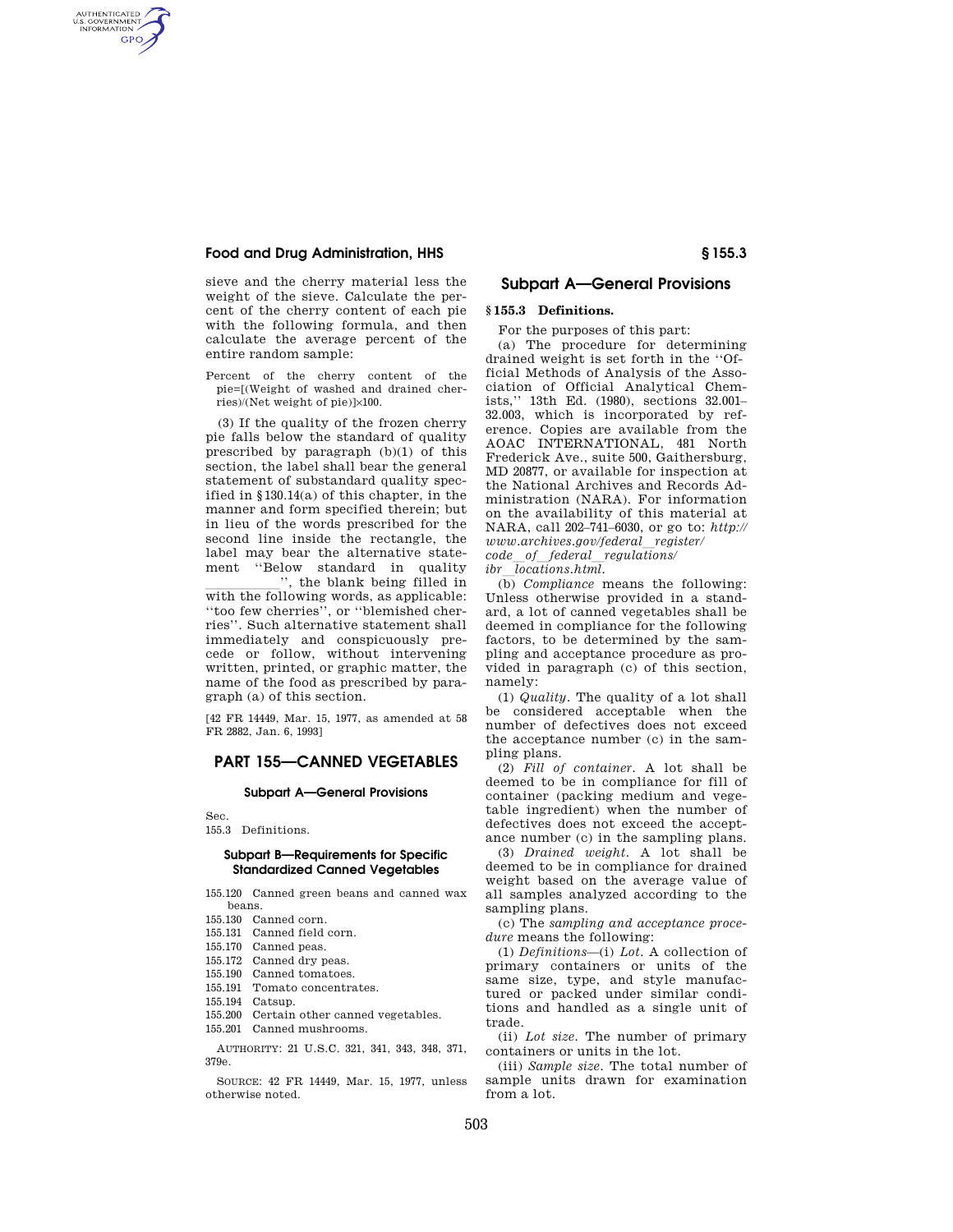### **Food and Drug Administration, HHS § 155.3**

AUTHENTICATED<br>U.S. GOVERNMENT<br>INFORMATION **GPO** 

> sieve and the cherry material less the weight of the sieve. Calculate the percent of the cherry content of each pie with the following formula, and then calculate the average percent of the entire random sample:

> Percent of the cherry content of the pie=[(Weight of washed and drained cherries)/(Net weight of pie)]×100.

(3) If the quality of the frozen cherry pie falls below the standard of quality prescribed by paragraph (b)(1) of this section, the label shall bear the general statement of substandard quality specified in §130.14(a) of this chapter, in the manner and form specified therein; but in lieu of the words prescribed for the second line inside the rectangle, the label may bear the alternative statement ''Below standard in quality

with the following words, as applicable: ''too few cherries'', or ''blemished cherries''. Such alternative statement shall immediately and conspicuously precede or follow, without intervening written, printed, or graphic matter, the name of the food as prescribed by paragraph (a) of this section.

[42 FR 14449, Mar. 15, 1977, as amended at 58 FR 2882, Jan. 6, 1993]

# **PART 155—CANNED VEGETABLES**

### **Subpart A—General Provisions**

Sec.

155.3 Definitions.

## **Subpart B—Requirements for Specific Standardized Canned Vegetables**

155.120 Canned green beans and canned wax beans.

- 155.130 Canned corn.
- 155.131 Canned field corn.
- 155.170 Canned peas.
- 155.172 Canned dry peas.
- 155.190 Canned tomatoes.
- 155.191 Tomato concentrates.
- 155.194 Catsup.
- 155.200 Certain other canned vegetables.
- 155.201 Canned mushrooms.

AUTHORITY: 21 U.S.C. 321, 341, 343, 348, 371, 379e.

SOURCE: 42 FR 14449, Mar. 15, 1977, unless otherwise noted.

## **Subpart A—General Provisions**

# **§ 155.3 Definitions.**

For the purposes of this part:

(a) The procedure for determining drained weight is set forth in the ''Official Methods of Analysis of the Association of Official Analytical Chemists,'' 13th Ed. (1980), sections 32.001– 32.003, which is incorporated by reference. Copies are available from the AOAC INTERNATIONAL, 481 North Frederick Ave., suite 500, Gaithersburg, MD 20877, or available for inspection at the National Archives and Records Administration (NARA). For information on the availability of this material at NARA, call 202–741–6030, or go to: *http:// www.archives.gov/federal*l*register/ code*l*of*l*federal*l*regulations/* 

*ibr*l*locations.html.* 

(b) *Compliance* means the following: Unless otherwise provided in a standard, a lot of canned vegetables shall be deemed in compliance for the following factors, to be determined by the sampling and acceptance procedure as provided in paragraph (c) of this section, namely:

(1) *Quality.* The quality of a lot shall be considered acceptable when the number of defectives does not exceed the acceptance number (c) in the sampling plans.

(2) *Fill of container.* A lot shall be deemed to be in compliance for fill of container (packing medium and vegetable ingredient) when the number of defectives does not exceed the acceptance number (c) in the sampling plans.

(3) *Drained weight.* A lot shall be deemed to be in compliance for drained weight based on the average value of all samples analyzed according to the sampling plans.

(c) The *sampling and acceptance procedure* means the following:

(1) *Definitions*—(i) *Lot.* A collection of primary containers or units of the same size, type, and style manufactured or packed under similar conditions and handled as a single unit of trade.

(ii) *Lot size.* The number of primary containers or units in the lot.

(iii) *Sample size.* The total number of sample units drawn for examination from a lot.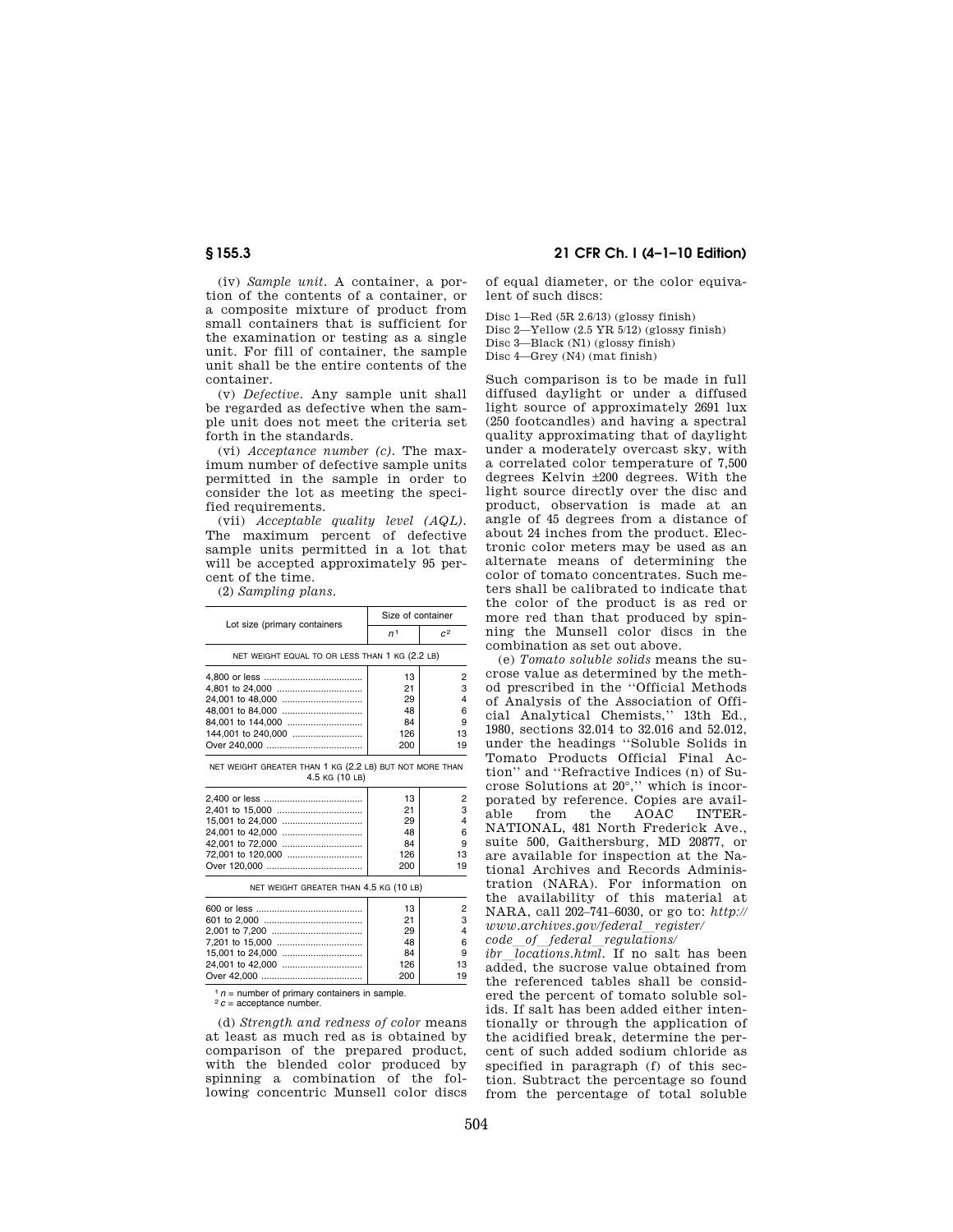(iv) *Sample unit.* A container, a portion of the contents of a container, or a composite mixture of product from small containers that is sufficient for the examination or testing as a single unit. For fill of container, the sample unit shall be the entire contents of the container.

(v) *Defective.* Any sample unit shall be regarded as defective when the sample unit does not meet the criteria set forth in the standards.

(vi) *Acceptance number (c).* The maximum number of defective sample units permitted in the sample in order to consider the lot as meeting the specified requirements.

(vii) *Acceptable quality level (AQL).*  The maximum percent of defective sample units permitted in a lot that will be accepted approximately 95 percent of the time.

(2) *Sampling plans.* 

| Lot size (primary containers                                              | Size of container |                |
|---------------------------------------------------------------------------|-------------------|----------------|
|                                                                           | n <sup>1</sup>    | c <sup>2</sup> |
| NET WEIGHT EQUAL TO OR LESS THAN 1 KG (2.2 LB)                            |                   |                |
|                                                                           | 13                | 2              |
|                                                                           | 21                | 3              |
|                                                                           | 29                | 4              |
| 48,001 to 84,000                                                          | 48                | 6              |
| 84,001 to 144,000                                                         | 84                | 9              |
| 144,001 to 240,000                                                        | 126               | 13             |
|                                                                           | 200               | 19             |
| NET WEIGHT GREATER THAN 1 KG (2.2 LB) BUT NOT MORE THAN<br>4.5 KG (10 LB) |                   |                |
|                                                                           | 13                | 2              |
|                                                                           | 21                | 3              |
|                                                                           | 29                | 4              |
| 24,001 to 42,000                                                          | 48                | 6              |
| 42,001 to 72,000                                                          | 84                | 9              |
| 72,001 to 120,000                                                         | 126               | 13             |
|                                                                           | 200               | 19             |
| NET WEIGHT GREATER THAN 4.5 KG (10 LB)                                    |                   |                |
|                                                                           | 13                | 2              |
|                                                                           | 21                | 3              |
|                                                                           | 29                | 4              |
|                                                                           | 48                | 6              |
|                                                                           | 84                | 9              |
|                                                                           | 126               | 13             |
| $Q_{\text{Var}}$ 42.000                                                   | 200               | 10.            |

<sup>1</sup>  $n$  = number of primary containers in sample.<br><sup>2</sup>  $c$  = acceptance number.

-- ...<br>Over 42.000 .....

(d) *Strength and redness of color* means at least as much red as is obtained by comparison of the prepared product, with the blended color produced by spinning a combination of the following concentric Munsell color discs

## **§ 155.3 21 CFR Ch. I (4–1–10 Edition)**

of equal diameter, or the color equivalent of such discs:

Disc 1—Red (5R 2.6/13) (glossy finish) Disc 2—Yellow (2.5 YR 5/12) (glossy finish) Disc 3—Black (N1) (glossy finish) Disc 4—Grey (N4) (mat finish)

Such comparison is to be made in full diffused daylight or under a diffused light source of approximately 2691 lux (250 footcandles) and having a spectral quality approximating that of daylight under a moderately overcast sky, with a correlated color temperature of 7,500 degrees Kelvin ±200 degrees. With the light source directly over the disc and product, observation is made at an angle of 45 degrees from a distance of about 24 inches from the product. Electronic color meters may be used as an alternate means of determining the color of tomato concentrates. Such meters shall be calibrated to indicate that the color of the product is as red or more red than that produced by spinning the Munsell color discs in the combination as set out above.

(e) *Tomato soluble solids* means the sucrose value as determined by the method prescribed in the ''Official Methods of Analysis of the Association of Official Analytical Chemists,'' 13th Ed., 1980, sections 32.014 to 32.016 and 52.012, under the headings ''Soluble Solids in Tomato Products Official Final Action'' and ''Refractive Indices (n) of Sucrose Solutions at 20°,'' which is incorporated by reference. Copies are available from the AOAC INTER-AOAC NATIONAL, 481 North Frederick Ave., suite 500, Gaithersburg, MD 20877, or are available for inspection at the National Archives and Records Administration (NARA). For information on the availability of this material at NARA, call 202–741–6030, or go to: *http:// www.archives.gov/federal*l*register/ code*l*of*l*federal*l*regulations/* 

*ibr*  $\overline{locations.html}$ . If no salt has been added, the sucrose value obtained from the referenced tables shall be considered the percent of tomato soluble solids. If salt has been added either intentionally or through the application of the acidified break, determine the percent of such added sodium chloride as

specified in paragraph (f) of this section. Subtract the percentage so found from the percentage of total soluble